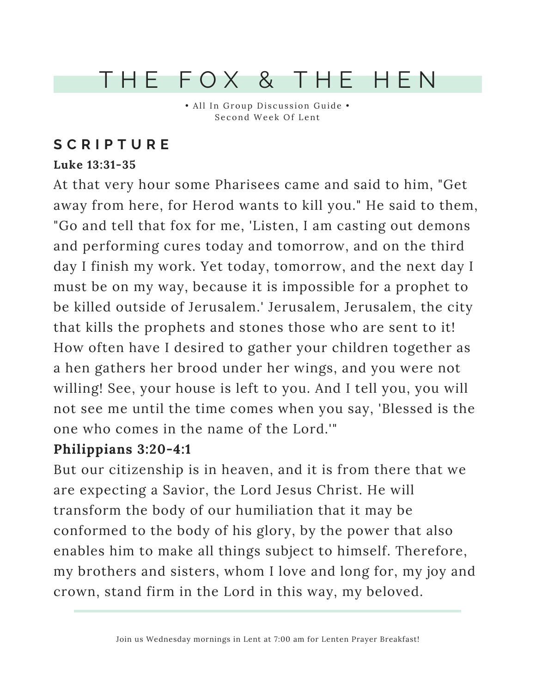## T H E F O X & T H E H E N

• All In Group Discussion Guide • Second Week Of Lent

## **S C R I P T U R E**

### **Luke 13:31-35**

At that very hour some Pharisees came and said to him, "Get away from here, for Herod wants to kill you." He said to them, "Go and tell that fox for me, 'Listen, I am casting out demons and performing cures today and tomorrow, and on the third day I finish my work. Yet today, tomorrow, and the next day I must be on my way, because it is impossible for a prophet to be killed outside of Jerusalem.' Jerusalem, Jerusalem, the city that kills the prophets and stones those who are sent to it! How often have I desired to gather your children together as a hen gathers her brood under her wings, and you were not willing! See, your house is left to you. And I tell you, you will not see me until the time comes when you say, 'Blessed is the one who comes in the name of the Lord.'"

### **Philippians 3:20-4:1**

But our citizenship is in heaven, and it is from there that we are expecting a Savior, the Lord Jesus Christ. He will transform the body of our humiliation that it may be conformed to the body of his glory, by the power that also enables him to make all things subject to himself. Therefore, my brothers and sisters, whom I love and long for, my joy and crown, stand firm in the Lord in this way, my beloved.